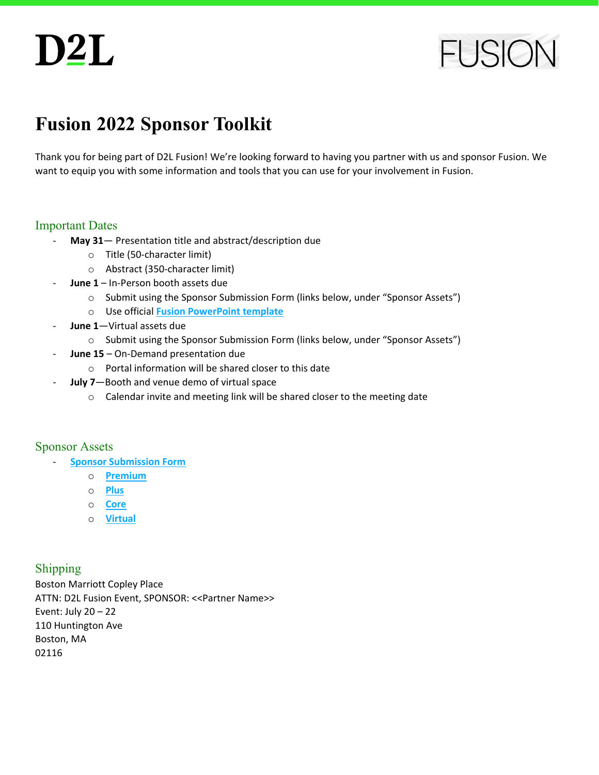**FUSIC** 

### **Fusion 2022 Sponsor Toolkit**

Thank you for being part of D2L Fusion! We're looking forward to having you partner with us and sponsor Fusion. We want to equip you with some information and tools that you can use for your involvement in Fusion.

#### Important Dates

- May 31- Presentation title and abstract/description due
	- o Title (50-character limit)
	- o Abstract (350-character limit)
	- June 1 In-Person booth assets due
		- o Submit using the Sponsor Submission Form (links below, under "Sponsor Assets")
		- o Use official **[Fusion PowerPoint template](https://www.d2l.com/wp-content/uploads/2022/04/FSN-22-Powerpoint-Template.potx.zip)**
- June 1-Virtual assets due
	- o Submit using the Sponsor Submission Form (links below, under "Sponsor Assets")
- June 15 On-Demand presentation due
	- o Portal information will be shared closer to this date
- **July 7**—Booth and venue demo of virtual space
	- o Calendar invite and meeting link will be shared closer to the meeting date

#### Sponsor Assets

- **[Sponsor Submission Form](https://d2l.tkeventsregistration.com/fusion-sponsor-form)** 
	- o **[Premium](https://d2l.tkeventsregistration.com/fusion-sponsor-form/begin?reg_type_id=255730)**
	- o **[Plus](https://d2l.tkeventsregistration.com/fusion-sponsor-form/begin?reg_type_id=255729)**
	- o **[Core](https://d2l.tkeventsregistration.com/fusion-sponsor-form/begin?reg_type_id=255731)**
	- o **[Virtual](https://d2l.tkeventsregistration.com/fusion-sponsor-form/begin?reg_type_id=255733)**

#### Shipping

Boston Marriott Copley Place ATTN: D2L Fusion Event, SPONSOR: <<Partner Name>> Event: July 20 – 22 110 Huntington Ave Boston, MA 02116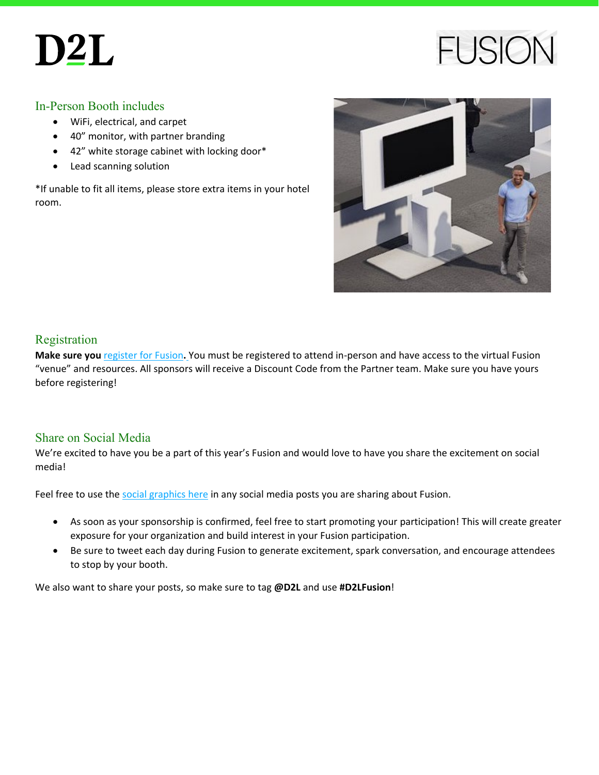### **FUSIO**

#### In-Person Booth includes

- WiFi, electrical, and carpet
- 40" monitor, with partner branding
- 42" white storage cabinet with locking door\*
- Lead scanning solution

\*If unable to fit all items, please store extra items in your hotel room.



#### Registration

**Make sure you** [register for Fusion](https://www.d2l.com/events/fusion)**.** You must be registered to attend in-person and have access to the virtual Fusion "venue" and resources. All sponsors will receive a Discount Code from the Partner team. Make sure you have yours before registering!

#### Share on Social Media

We're excited to have you be a part of this year's Fusion and would love to have you share the excitement on social media!

Feel free to use the [social graphics here](https://www.d2l.com/wp-content/uploads/2022/04/FSN_22-Social_Share_Graphics.zip) in any social media posts you are sharing about Fusion.

- As soon as your sponsorship is confirmed, feel free to start promoting your participation! This will create greater exposure for your organization and build interest in your Fusion participation.
- Be sure to tweet each day during Fusion to generate excitement, spark conversation, and encourage attendees to stop by your booth.

We also want to share your posts, so make sure to tag **@D2L** and use **#D2LFusion**!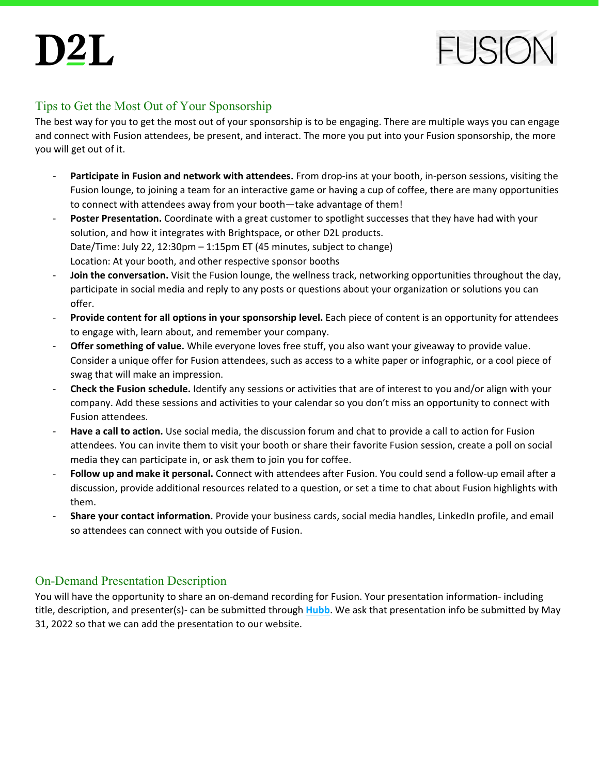

#### Tips to Get the Most Out of Your Sponsorship

The best way for you to get the most out of your sponsorship is to be engaging. There are multiple ways you can engage and connect with Fusion attendees, be present, and interact. The more you put into your Fusion sponsorship, the more you will get out of it.

- Participate in Fusion and network with attendees. From drop-ins at your booth, in-person sessions, visiting the Fusion lounge, to joining a team for an interactive game or having a cup of coffee, there are many opportunities to connect with attendees away from your booth—take advantage of them!
- **Poster Presentation.** Coordinate with a great customer to spotlight successes that they have had with your solution, and how it integrates with Brightspace, or other D2L products. Date/Time: July 22, 12:30pm – 1:15pm ET (45 minutes, subject to change) Location: At your booth, and other respective sponsor booths
- **Join the conversation.** Visit the Fusion lounge, the wellness track, networking opportunities throughout the day, participate in social media and reply to any posts or questions about your organization or solutions you can offer.
- **Provide content for all options in your sponsorship level.** Each piece of content is an opportunity for attendees to engage with, learn about, and remember your company.
- **Offer something of value.** While everyone loves free stuff, you also want your giveaway to provide value. Consider a unique offer for Fusion attendees, such as access to a white paper or infographic, or a cool piece of swag that will make an impression.
- **Check the Fusion schedule.** Identify any sessions or activities that are of interest to you and/or align with your company. Add these sessions and activities to your calendar so you don't miss an opportunity to connect with Fusion attendees.
- Have a call to action. Use social media, the discussion forum and chat to provide a call to action for Fusion attendees. You can invite them to visit your booth or share their favorite Fusion session, create a poll on social media they can participate in, or ask them to join you for coffee.
- **Follow up and make it personal.** Connect with attendees after Fusion. You could send a follow-up email after a discussion, provide additional resources related to a question, or set a time to chat about Fusion highlights with them.
- **Share your contact information.** Provide your business cards, social media handles, LinkedIn profile, and email so attendees can connect with you outside of Fusion.

#### On-Demand Presentation Description

You will have the opportunity to share an on-demand recording for Fusion. Your presentation information- including title, description, and presenter(s)- can be submitted through **[Hubb](https://fusion22cfp.hubb.me/)**. We ask that presentation info be submitted by May 31, 2022 so that we can add the presentation to our website.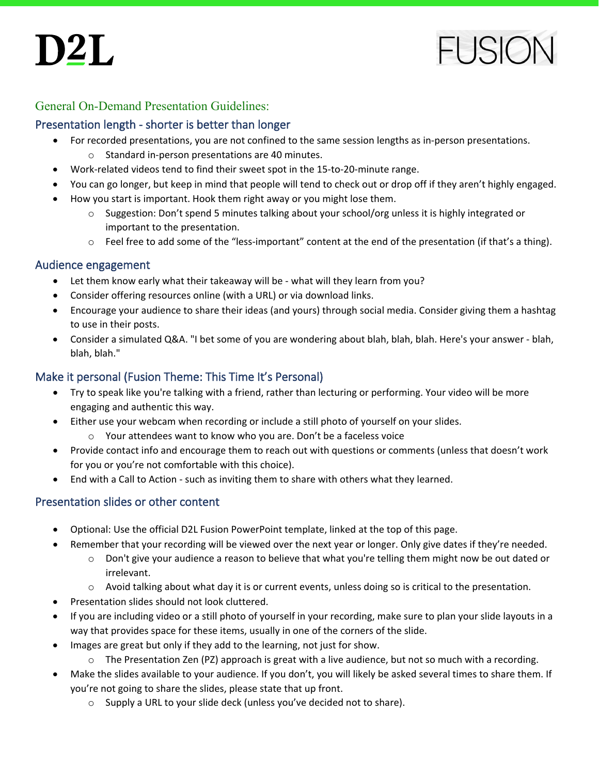

#### General On-Demand Presentation Guidelines:

#### Presentation length - shorter is better than longer

- For recorded presentations, you are not confined to the same session lengths as in-person presentations.
	- o Standard in-person presentations are 40 minutes.
- Work-related videos tend to find their sweet spot in the 15-to-20-minute range.
- You can go longer, but keep in mind that people will tend to check out or drop off if they aren't highly engaged.
- How you start is important. Hook them right away or you might lose them.
	- o Suggestion: Don't spend 5 minutes talking about your school/org unless it is highly integrated or important to the presentation.
	- o Feel free to add some of the "less-important" content at the end of the presentation (if that's a thing).

#### Audience engagement

- Let them know early what their takeaway will be what will they learn from you?
- Consider offering resources online (with a URL) or via download links.
- Encourage your audience to share their ideas (and yours) through social media. Consider giving them a hashtag to use in their posts.
- Consider a simulated Q&A. "I bet some of you are wondering about blah, blah, blah. Here's your answer blah, blah, blah."

#### Make it personal (Fusion Theme: This Time It's Personal)

- Try to speak like you're talking with a friend, rather than lecturing or performing. Your video will be more engaging and authentic this way.
- Either use your webcam when recording or include a still photo of yourself on your slides.
	- o Your attendees want to know who you are. Don't be a faceless voice
- Provide contact info and encourage them to reach out with questions or comments (unless that doesn't work for you or you're not comfortable with this choice).
- End with a Call to Action such as inviting them to share with others what they learned.

#### Presentation slides or other content

- Optional: Use the official D2L Fusion PowerPoint template, linked at the top of this page.
- Remember that your recording will be viewed over the next year or longer. Only give dates if they're needed.
	- $\circ$  Don't give your audience a reason to believe that what you're telling them might now be out dated or irrelevant.
	- o Avoid talking about what day it is or current events, unless doing so is critical to the presentation.
- Presentation slides should not look cluttered.
- If you are including video or a still photo of yourself in your recording, make sure to plan your slide layouts in a way that provides space for these items, usually in one of the corners of the slide.
- Images are great but only if they add to the learning, not just for show.
	- $\circ$  The Presentation Zen (PZ) approach is great with a live audience, but not so much with a recording.
- Make the slides available to your audience. If you don't, you will likely be asked several times to share them. If you're not going to share the slides, please state that up front.
	- o Supply a URL to your slide deck (unless you've decided not to share).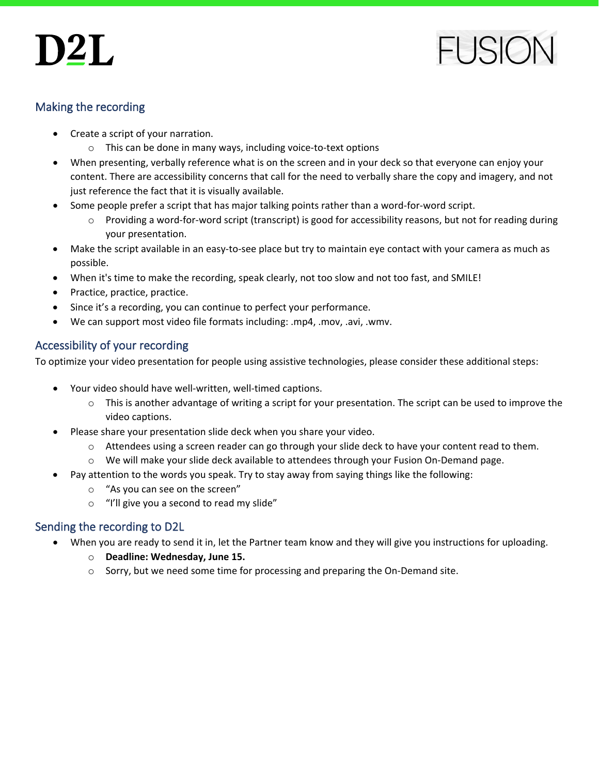# $D2L$



#### Making the recording

- Create a script of your narration.
	- o This can be done in many ways, including voice-to-text options
- When presenting, verbally reference what is on the screen and in your deck so that everyone can enjoy your content. There are accessibility concerns that call for the need to verbally share the copy and imagery, and not just reference the fact that it is visually available.
- Some people prefer a script that has major talking points rather than a word-for-word script.
	- $\circ$  Providing a word-for-word script (transcript) is good for accessibility reasons, but not for reading during your presentation.
- Make the script available in an easy-to-see place but try to maintain eye contact with your camera as much as possible.
- When it's time to make the recording, speak clearly, not too slow and not too fast, and SMILE!
- Practice, practice, practice.
- Since it's a recording, you can continue to perfect your performance.
- We can support most video file formats including: .mp4, .mov, .avi, .wmv.

#### Accessibility of your recording

To optimize your video presentation for people using assistive technologies, please consider these additional steps:

- Your video should have well-written, well-timed captions.
	- $\circ$  This is another advantage of writing a script for your presentation. The script can be used to improve the video captions.
- Please share your presentation slide deck when you share your video.
	- $\circ$  Attendees using a screen reader can go through your slide deck to have your content read to them.
	- o We will make your slide deck available to attendees through your Fusion On-Demand page.
- Pay attention to the words you speak. Try to stay away from saying things like the following:
	- o "As you can see on the screen"
	- o "I'll give you a second to read my slide"

#### Sending the recording to D2L

- When you are ready to send it in, let the Partner team know and they will give you instructions for uploading.
	- o **Deadline: Wednesday, June 15.**
	- $\circ$  Sorry, but we need some time for processing and preparing the On-Demand site.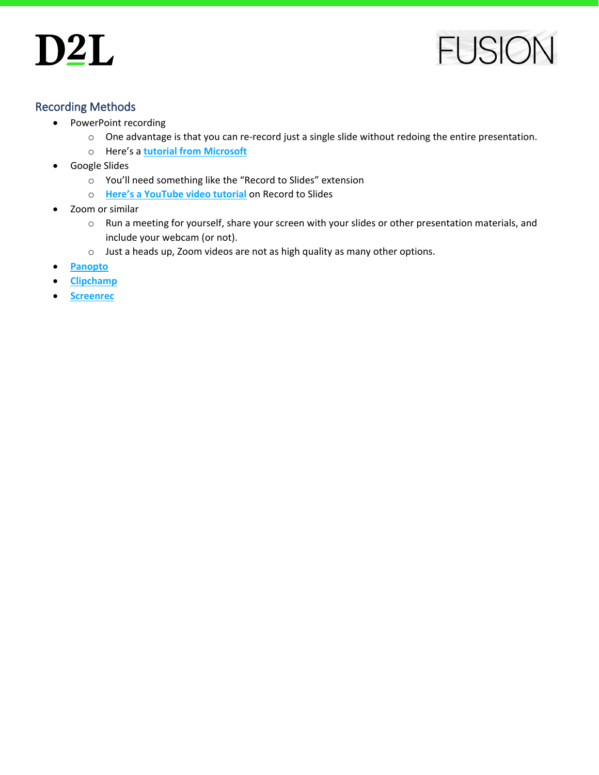

#### Recording Methods

- PowerPoint recording
	- o One advantage is that you can re-record just a single slide without redoing the entire presentation.
	- o Here's a **[tutorial from Microsoft](https://support.microsoft.com/en-us/office/record-a-slide-show-with-narration-and-slide-timings-0b9502c6-5f6c-40ae-b1e7-e47d8741161c)**
- Google Slides
	- o You'll need something like the "Record to Slides" extension
	- o **[Here's a YouTube video tutorial](https://www.youtube.com/watch?v=gm7JIxZQZ_4&ab_channel=FlippedClassroomTutorials)** on Record to Slides
- Zoom or similar
	- o Run a meeting for yourself, share your screen with your slides or other presentation materials, and include your webcam (or not).
	- o Just a heads up, Zoom videos are not as high quality as many other options.
- **[Panopto](https://www.panopto.com/record-share-presentations-2/)**
- **[Clipchamp](https://clipchamp.com/en/)**
- **[Screenrec](https://screenrec.com/screen-recorder/)**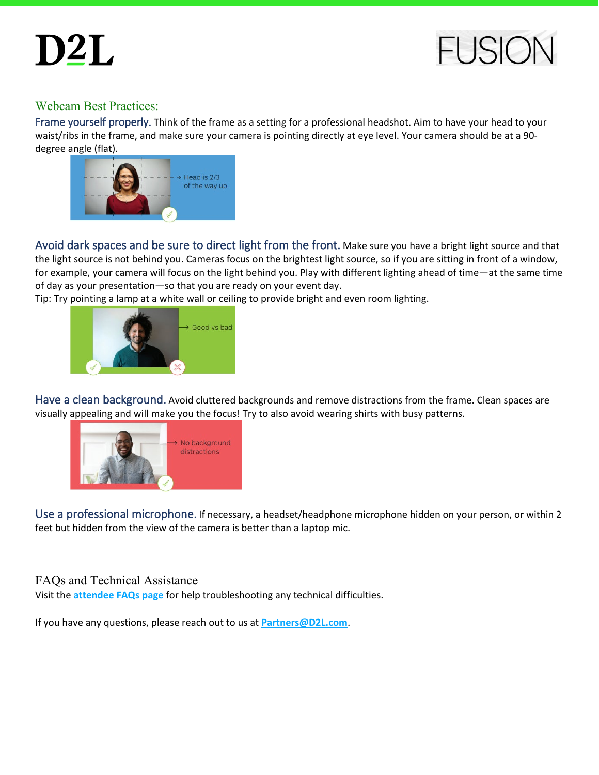$D2L$ 



#### Webcam Best Practices:

Frame yourself properly. Think of the frame as a setting for a professional headshot. Aim to have your head to your waist/ribs in the frame, and make sure your camera is pointing directly at eye level. Your camera should be at a 90 degree angle (flat).



Avoid dark spaces and be sure to direct light from the front. Make sure you have a bright light source and that the light source is not behind you. Cameras focus on the brightest light source, so if you are sitting in front of a window, for example, your camera will focus on the light behind you. Play with different lighting ahead of time—at the same time of day as your presentation—so that you are ready on your event day.

Tip: Try pointing a lamp at a white wall or ceiling to provide bright and even room lighting.



Have a clean background. Avoid cluttered backgrounds and remove distractions from the frame. Clean spaces are visually appealing and will make you the focus! Try to also avoid wearing shirts with busy patterns.



Use a professional microphone. If necessary, a headset/headphone microphone hidden on your person, or within 2 feet but hidden from the view of the camera is better than a laptop mic.

#### FAQs and Technical Assistance

Visit the **[attendee FAQs page](https://www.d2l.com/events/fusion/faq/)** for help troubleshooting any technical difficulties.

If you have any questions, please reach out to us at **[Partners@D2L.com](mailto:Partners@D2L.com)**.